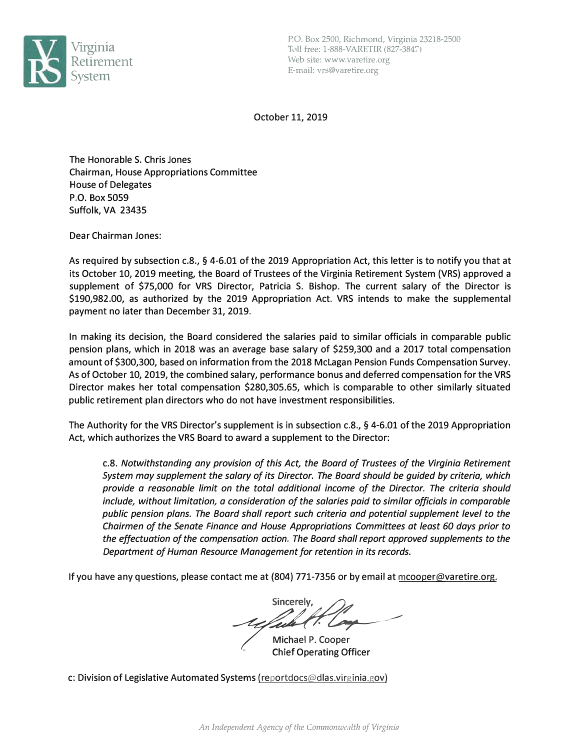

October 11, 2019

The Honorable S. Chris Jones Chairman, House Appropriations Committee House of Delegates **P.O. Box 5059 Suffolk, VA 23435** 

Dear Chairman Jones:

As required by subsection c.8., § 4-6.01 of the 2019 Appropriation Act, this letter is to notify you that at its October 10, 2019 meeting, the Board of Trustees of the Virginia Retirement System (VRS) approved a supplement of \$75,000 for VRS Director, Patricia S. Bishop. The current salary of the Director is \$190,982.00, as authorized by the 2019 Appropriation Act. VRS intends to make the supplemental payment no later than December 31, 2019.

In making its decision, the Board considered the salaries paid to similar officials in comparable public pension plans, which in 2018 was an average base salary of \$259,300 and a 2017 total compensation amount of \$300,300, based on information from the 2018 Mclagan Pension Funds Compensation Survey. As of October 10, 2019, the combined salary, performance bonus and deferred compensation for the VRS Director makes her total compensation \$280,305.65, which is comparable to other similarly situated public retirement plan directors who do not have investment responsibilities.

The Authority for the VRS Director's supplement is in subsection c.8., § 4-6.01 of the 2019 Appropriation Act, which authorizes the VRS Board to award a supplement to the Director:

c.8. *Notwithstanding any provision of this Act, the Board of Trustees of the Virginia Retirement System may supplement the salary of its Director. The Board should be guided by criteria, which provide a reasonable limit on the total additional income of the Director. The criteria should include, without /imitation, a consideration of the salaries paid to similar officials in comparable public pension plans. The Board shall report such criteria and potential supplement level to the Chairmen of the Senate Finance and House Appropriations Committees at least 60 days prior to the effectuation of the compensation action. The Board shall report approved supplements to the Department of Human Resource Management for retention in its records.*

If you have any questions, please contact me at (804) 771-7356 or by email at mcooper@varetire.org.

Sincerely. requier in comp

Michael P. Cooper Chief Operating Officer

c: Division of Legislative Automated Systems (reportdocs@dlas.virginia.gov)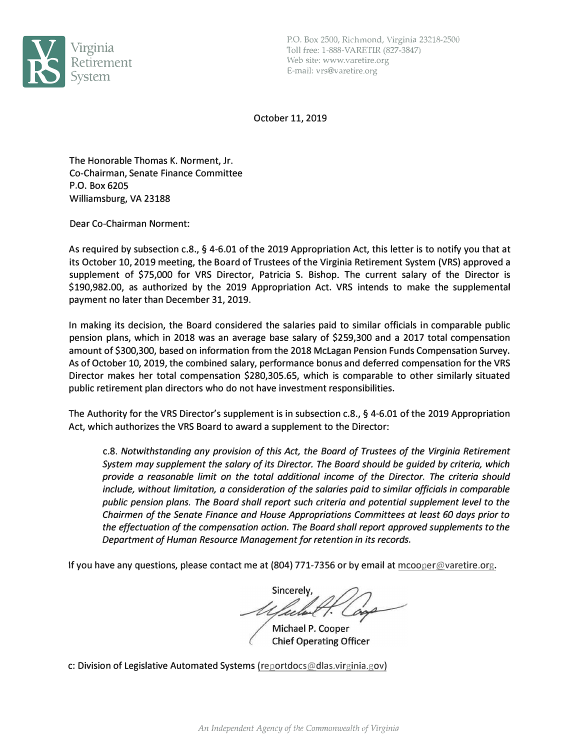

P.O. Box 2500, Richmond, Virginia 23218-2500 Toll free: 1-888-VARETIR (827-3847) Web site: www.varetire.org E-mail: vrs@varetire.org

October 11, 2019

The Honorable Thomas K. Norment, Jr. Co-Chairman, Senate Finance Committee **P.O. Box 6205**  Williamsburg, VA 23188

Dear Co-Chairman Norment:

As required by subsection c.8., § 4-6.01 of the 2019 Appropriation Act, this letter is to notify you that at its October 10, 2019 meeting, the Board of Trustees of the Virginia Retirement System (VRS) approved a supplement of \$75,000 for VRS Director, Patricia S. Bishop. The current salary of the Director is \$190,982.00, as authorized by the 2019 Appropriation Act. VRS intends to make the supplemental payment no later than December 31, 2019.

In making its decision, the Board considered the salaries paid to similar officials in comparable public pension plans, which in 2018 was an average base salary of \$259,300 and a 2017 total compensation amount of \$300,300, based on information from the 2018 Mclagan Pension Funds Compensation Survey. As of October 10, 2019, the combined salary, performance bonus and deferred compensation for the VRS Director makes her total compensation \$280,305.65, which is comparable to other similarly situated public retirement plan directors who do not have investment responsibilities.

The Authority for the VRS Director's supplement is in subsection c.8., § 4-6.01 of the 2019 Appropriation Act, which authorizes the VRS Board to award a supplement to the Director:

c.8. *Notwithstanding any provision of this Act, the Board of Trustees of the Virginia Retirement System may supplement the salary of its Director. The Board should be guided by criteria, which provide a reasonable limit on the total additional income of the Director. The criteria should include, without limitation, a consideration of the salaries paid to similar officials in comparable public pension plans. The Board shall report such criteria and potential supplement level to the Chairmen of the Senate Finance and House Appropriations Committees at least 60 days prior to the effectuation of the compensation action. The Board shall report approved supplements to the Department of Human Resource Management for retention in its records.*

If you have any questions, please contact me at (804) 771-7356 or by email at mcooper@varetire.org.

Sincerely

Michael P. Cooper **Chief Operating Officer** 

c: Division of Legislative Automated Systems (reportdocs@dlas.virginia.gov)